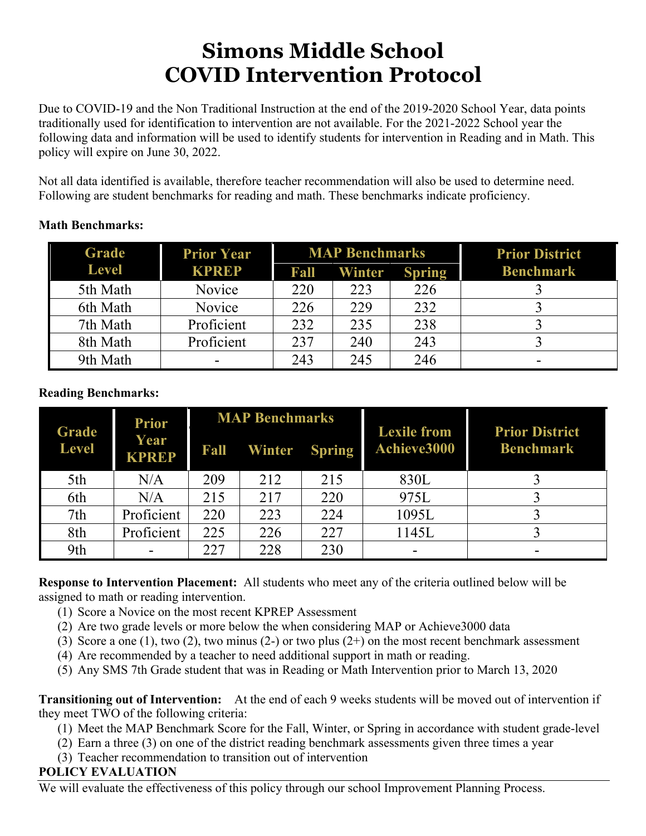# **Simons Middle School COVID Intervention Protocol**

Due to COVID-19 and the Non Traditional Instruction at the end of the 2019-2020 School Year, data points traditionally used for identification to intervention are not available. For the 2021-2022 School year the following data and information will be used to identify students for intervention in Reading and in Math. This policy will expire on June 30, 2022.

Not all data identified is available, therefore teacher recommendation will also be used to determine need. Following are student benchmarks for reading and math. These benchmarks indicate proficiency.

#### **Math Benchmarks:**

| <b>Grade</b> | <b>Prior Year</b> | <b>MAP Benchmarks</b> |               |               | <b>Prior District</b> |
|--------------|-------------------|-----------------------|---------------|---------------|-----------------------|
| <b>Level</b> | <b>KPREP</b>      | Fall                  | <b>Winter</b> | <b>Spring</b> | <b>Benchmark</b>      |
| 5th Math     | Novice            | 220                   | 223           | 226           |                       |
| 6th Math     | Novice            | 226                   | 229           | 232           |                       |
| 7th Math     | Proficient        | 232                   | 235           | 238           |                       |
| 8th Math     | Proficient        | 237                   | 240           | 243           |                       |
| 9th Math     |                   | 243                   | 245           | 246           |                       |

### **Reading Benchmarks:**

| Grade<br><b>Level</b> | <b>Prior</b><br>Year<br><b>KPREP</b> | <b>MAP Benchmarks</b> |                      |     |                                   | <b>Prior District</b> |
|-----------------------|--------------------------------------|-----------------------|----------------------|-----|-----------------------------------|-----------------------|
|                       |                                      | Fall                  | <b>Winter Spring</b> |     | <b>Lexile from</b><br>Achieve3000 | <b>Benchmark</b>      |
| 5th                   | N/A                                  | 209                   | 212                  | 215 | 830L                              |                       |
| 6th                   | N/A                                  | 215                   | 217                  | 220 | 975L                              |                       |
| 7th                   | Proficient                           | 220                   | 223                  | 224 | 1095L                             |                       |
| 8th                   | Proficient                           | 225                   | 226                  | 227 | 1145L                             |                       |
| 9th                   |                                      | 227                   | 228                  | 230 |                                   |                       |

**Response to Intervention Placement:** All students who meet any of the criteria outlined below will be assigned to math or reading intervention.

- (1) Score a Novice on the most recent KPREP Assessment
- (2) Are two grade levels or more below the when considering MAP or Achieve3000 data
- (3) Score a one (1), two (2), two minus (2-) or two plus (2+) on the most recent benchmark assessment
- (4) Are recommended by a teacher to need additional support in math or reading.
- (5) Any SMS 7th Grade student that was in Reading or Math Intervention prior to March 13, 2020

**Transitioning out of Intervention:** At the end of each 9 weeks students will be moved out of intervention if they meet TWO of the following criteria:

- (1) Meet the MAP Benchmark Score for the Fall, Winter, or Spring in accordance with student grade-level
- (2) Earn a three (3) on one of the district reading benchmark assessments given three times a year
- (3) Teacher recommendation to transition out of intervention

#### **POLICY EVALUATION**

We will evaluate the effectiveness of this policy through our school Improvement Planning Process.